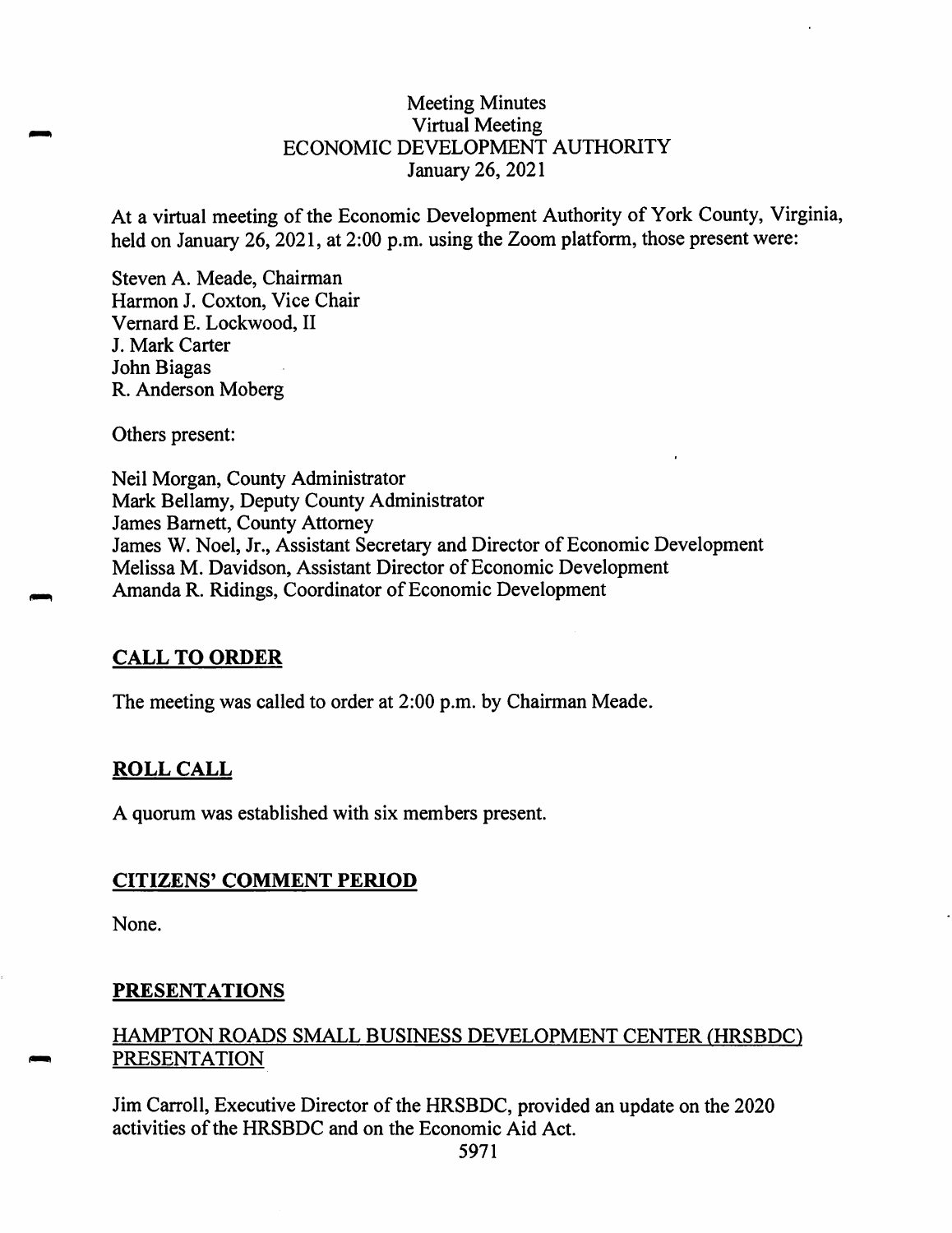#### Meeting Minutes Virtual Meeting ECONOMIC DEVELOPMENT AUTHORITY January 26, 2021

At a virtual meeting of the Economic Development Authority of York County, Virginia, held on January 26, 2021, at 2:00 p.m. using the Zoom platform, those present were:

Steven A. Meade, Chairman Harmon J. Coxton, Vice Chair Vemard E. Lockwood, II J. Mark Carter John Biagas R. Anderson Moberg

Others present:

Neil Morgan, County Administrator Mark Bellamy, Deputy County Administrator James Barnett, County Attorney James W. Noel, Jr., Assistant Secretary and Director of Economic Development Melissa M. Davidson, Assistant Director of Economic Development Amanda R. Ridings, Coordinator of Economic Development

## **CALL TO ORDER**

The meeting was called to order at 2:00 p.m. by Chairman Meade.

## **ROLL CALL**

A quorum was established with six members present.

#### **CITIZENS' COMMENT PERIOD**

None.

#### **PRESENTATIONS**

## HAMPTON ROADS SMALL BUSINESS DEVELOPMENT CENTER (HRSBDC) PRESENTATION

Jim Carroll, Executive Director of the HRSBDC, provided an update on the 2020 activities of the HRSBDC and on the Economic Aid Act.

5971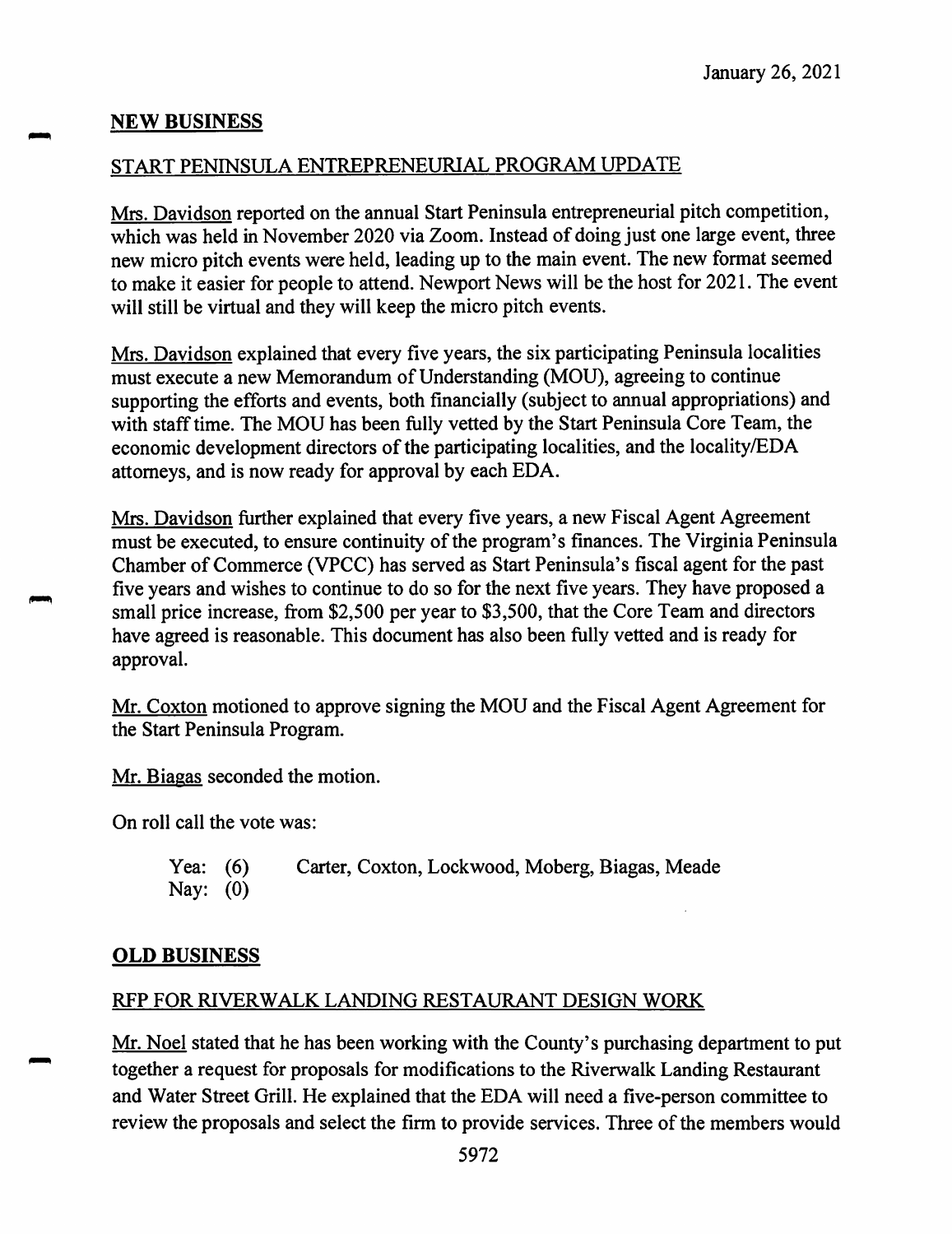## **NEW BUSINESS**

## START PENINSULA ENTREPRENEURIAL PROGRAM UPDATE

Mrs. Davidson reported on the annual Start Peninsula entrepreneurial pitch competition, which was held in November 2020 via Zoom. Instead of doing just one large event, three new micro pitch events were held, leading up to the main event. The new format seemed to make it easier for people to attend. Newport News will be the host for 2021. The event will still be virtual and they will keep the micro pitch events.

Mrs. Davidson explained that every five years, the six participating Peninsula localities must execute a new Memorandum of Understanding (MOU), agreeing to continue supporting the efforts and events, both financially (subject to annual appropriations) and with staff time. The MOU has been fully vetted by the Start Peninsula Core Team, the economic development directors of the participating localities, and the locality/EDA attorneys, and is now ready for approval by each EDA.

Mrs. Davidson further explained that every five years, a new Fiscal Agent Agreement must be executed, to ensure continuity of the program's finances. The Virginia Peninsula Chamber of Commerce (VPCC) has served as Start Peninsula's fiscal agent for the past five years and wishes to continue to do so for the next five years. They have proposed a small price increase, from \$2,500 per year to \$3,500, that the Core Team and directors have agreed is reasonable. This document has also been fully vetted and is ready for approval.

Mr. Coxton motioned to approve signing the MOU and the Fiscal Agent Agreement for the Start Peninsula Program.

Mr. Biagas seconded the motion.

On roll call the vote was:

Yea: (6) Carter, Coxton, Lockwood, Moberg, Biagas, Meade Nay: (0)

## **OLD BUSINESS**

## RFP FOR RIVERWALK LANDING RESTAURANT DESIGN WORK

Mr. Noel stated that he has been working with the County's purchasing department to put together a request for proposals for modifications to the Riverwalk Landing Restaurant and Water Street Grill. He explained that the EDA will need a five-person committee to review the proposals and select the firm to provide services. Three of the members would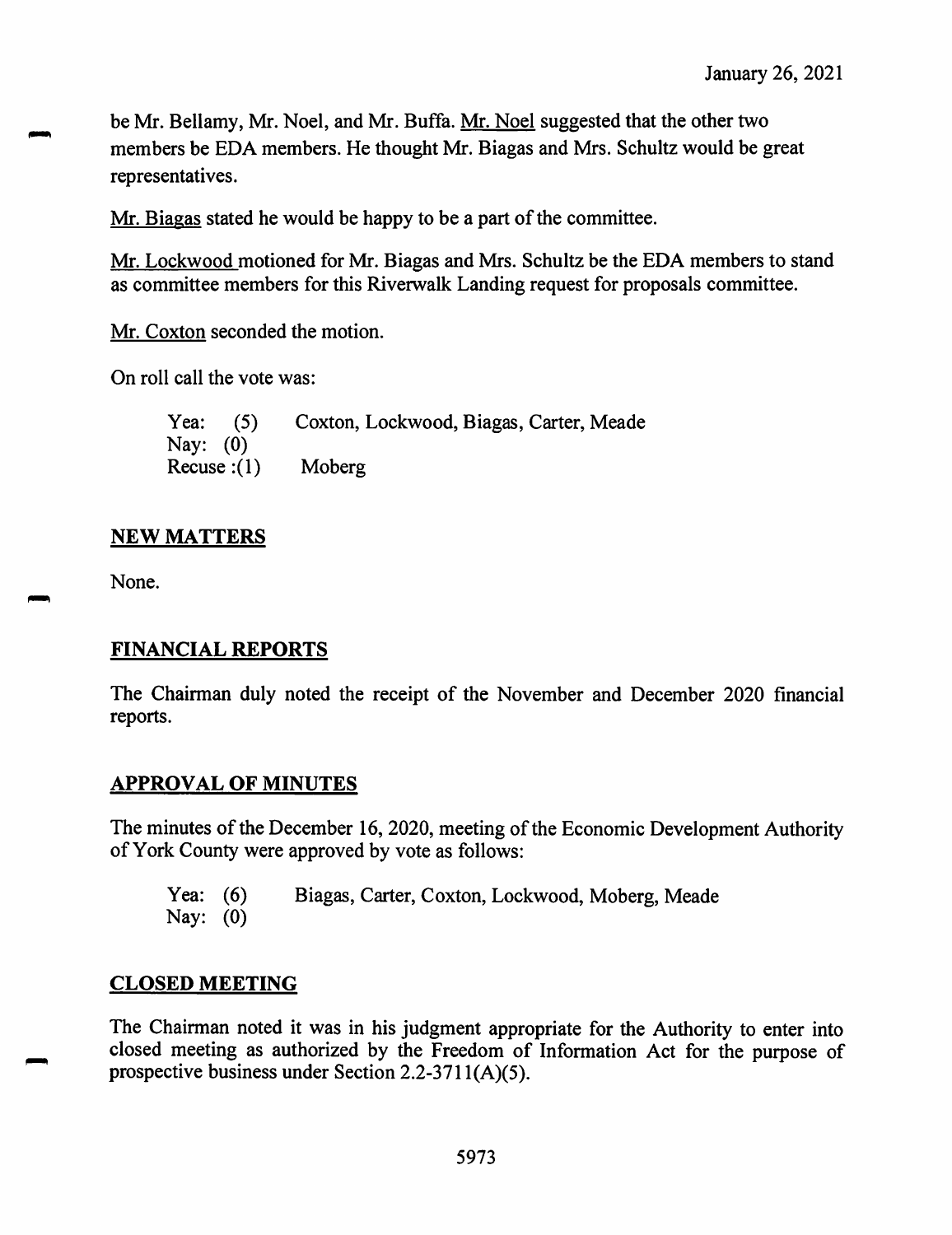be Mr. Bellamy, Mr. Noel, and Mr. Buffa. Mr. Noel suggested that the other two members be EDA members. He thought Mr. Biagas and Mrs. Schultz would be great representatives.

Mr. Biagas stated he would be happy to be a part of the committee.

Mr. Lockwood motioned for Mr. Biagas and Mrs. Schultz be the EDA members to stand as committee members for this Riverwalk Landing request for proposals committee.

Mr. Coxton seconded the motion.

On roll call the vote was:

Yea: Nay: (0) Recuse :(1) Moberg **(**5**)** Coxton, Lockwood, Biagas, Carter, Meade

## **NEW MATTERS**

None.

# **FINANCIAL REPORTS**

The Chairman duly noted the receipt of the November and December 2020 financial reports.

## **APPROVAL OF MINUTES**

The minutes of the December 16, 2020, meeting of the Economic Development Authority of York County were approved by vote as follows:

Yea: (6) Biagas, Carter, Coxton, Lockwood, Moberg, Meade Nay: (0)

## **CLOSED MEETING**

The Chairman noted it was in his judgment appropriate for the Authority to enter into closed meeting as authorized by the Freedom of Information Act for the purpose of prospective business under Section 2.2-3711(A)(5).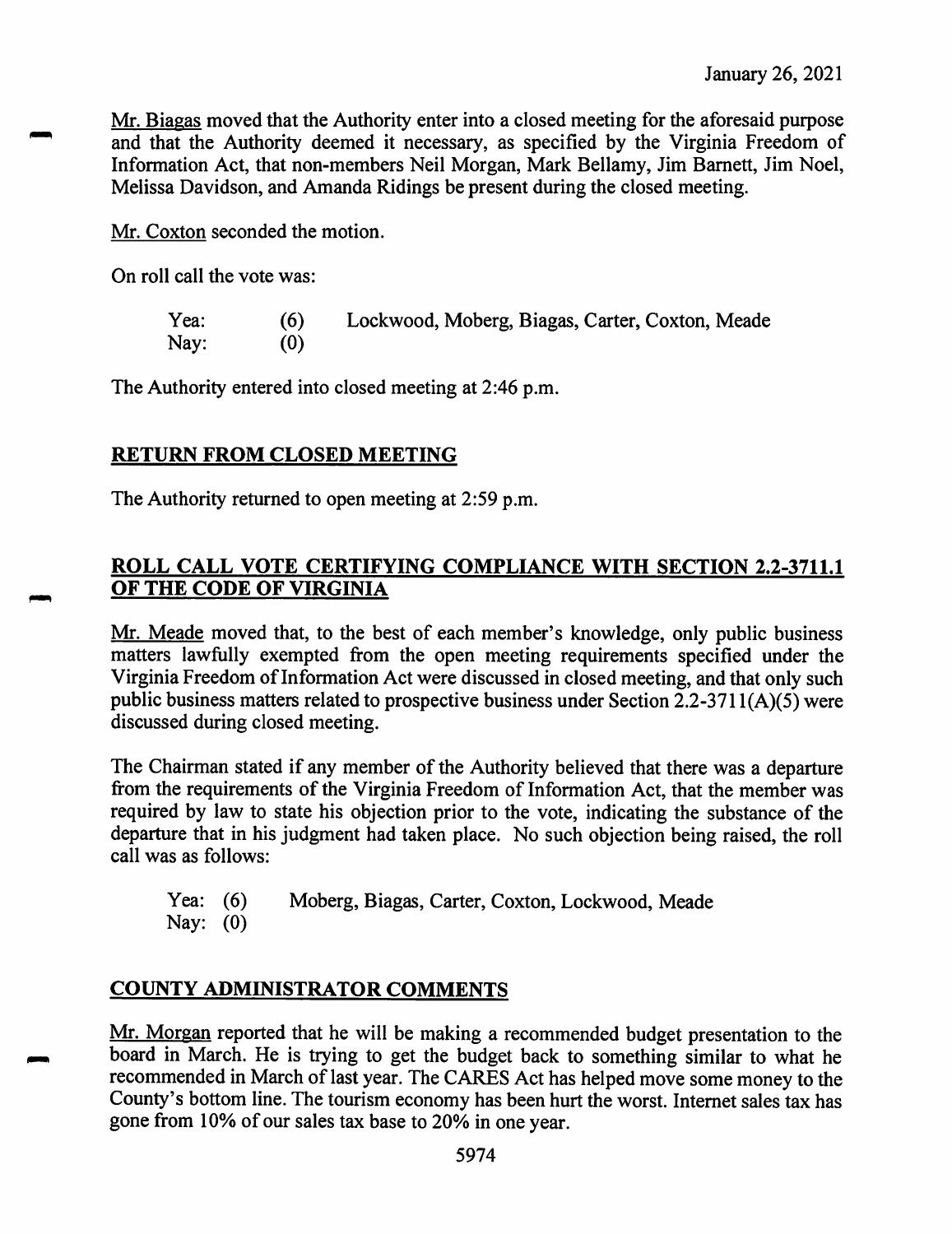Mr. Biagas moved that the Authority enter into a closed meeting for the aforesaid purpose and that the Authority deemed it necessary, as specified by the Virginia Freedom of Information Act, that non-members Neil Morgan, Mark Bellamy, Jim Barnett, Jim Noel, Melissa Davidson, and Amanda Ridings be present during the closed meeting.

Mr. Coxton seconded the motion.

On roll call the vote was:

| Yea: | (6) | Lockwood, Moberg, Biagas, Carter, Coxton, Meade |
|------|-----|-------------------------------------------------|
| Nay: | (0) |                                                 |

The Authority entered into closed meeting at 2:46 p.m.

## **RETURN FROM CLOSED MEETING**

The Authority returned to open meeting at 2:59 p.m.

## **ROLL CALL VOTE CERTIFYING COMPLIANCE WITH SECTION 2.2-3711.1 OF THE CODE OF VIRGINIA**

Mr. Meade moved that, to the best of each member's knowledge, only public business matters lawfully exempted from the open meeting requirements specified under the Virginia Freedom of Information Act were discussed in closed meeting, and that only such public business matters related to prospective business under Section 2.2-3711(A)(5) were discussed during closed meeting.

The Chairman stated if any member of the Authority believed that there was a departure from the requirements of the Virginia Freedom of Information Act, that the member was required by law to state his objection prior to the vote, indicating the substance of the departure that in his judgment had taken place. No such objection being raised, the roll call was as follows:

Yea: (6) Nay: (0) Moberg, Biagas, Carter, Coxton, Lockwood, Meade

# **COUNTY ADMINISTRATOR COMMENTS**

Mr. Morgan reported that he will be making a recommended budget presentation to the board in March. He is trying to get the budget back to something similar to what he recommended in March of last year. The CARES Act has helped move some money to the County's bottom line. The tourism economy has been hurt the worst. Internet sales tax has gone from 10% of our sales tax base to 20% in one year.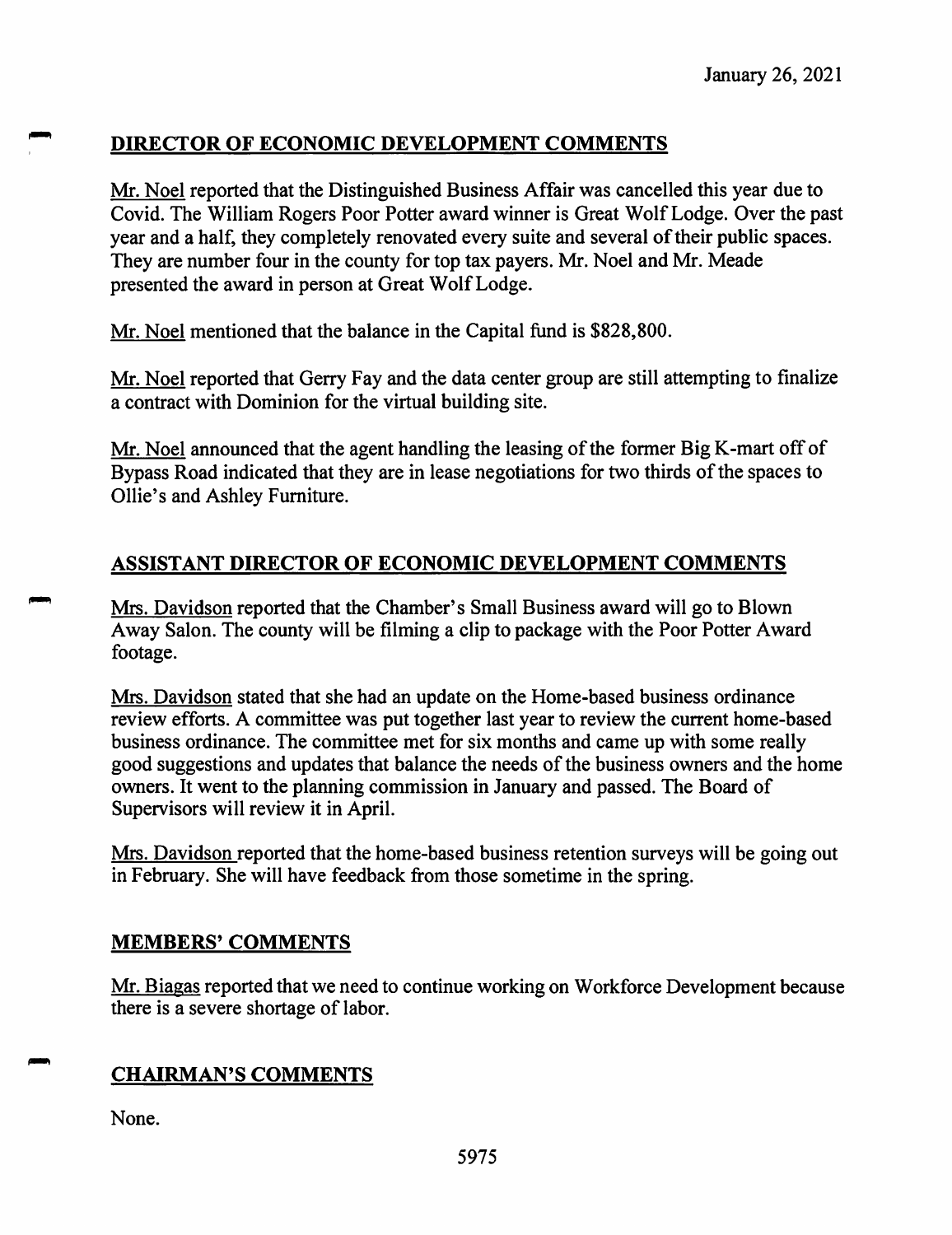# **DIRECTOR OF ECONOMIC DEVELOPMENT COMMENTS**

Mr. Noel reported that the Distinguished Business Affair was cancelled this year due to Covid. The William Rogers Poor Potter award winner is Great Wolf Lodge. Over the past year and a half, they completely renovated every suite and several of their public spaces. They are number four in the county for top tax payers. Mr. Noel and Mr. Meade presented the award in person at Great Wolf Lodge.

Mr. Noel mentioned that the balance in the Capital fund is \$828,800.

Mr. Noel reported that Gerry Fay and the data center group are still attempting to finalize a contract with Dominion for the virtual building site.

Mr. Noel announced that the agent handling the leasing of the former Big K-mart off of Bypass Road indicated that they are in lease negotiations for two thirds of the spaces to Ollie's and Ashley Furniture.

# **ASSISTANT DIRECTOR OF ECONOMIC DEVELOPMENT COMMENTS**

Mrs. Davidson reported that the Chamber's Small Business award will go to Blown Away Salon. The county will be filming a clip to package with the Poor Potter Award footage.

Mrs. Davidson stated that she had an update on the Home-based business ordinance review efforts. <sup>A</sup> committee was put together last year to review the current home-based business ordinance. The committee met for six months and came up with some really good suggestions and updates that balance the needs of the business owners and the home owners. It went to the planning commission in January and passed. The Board of Supervisors will review it in April.

Mrs. Davidson reported that the home-based business retention surveys will be going out in February. She will have feedback from those sometime in the spring.

## **MEMBERS' COMMENTS**

Mr. Biagas reported that we need to continue working on Workforce Development because there is a severe shortage of labor.

# **CHAIRMAN'S COMMENTS**

None.